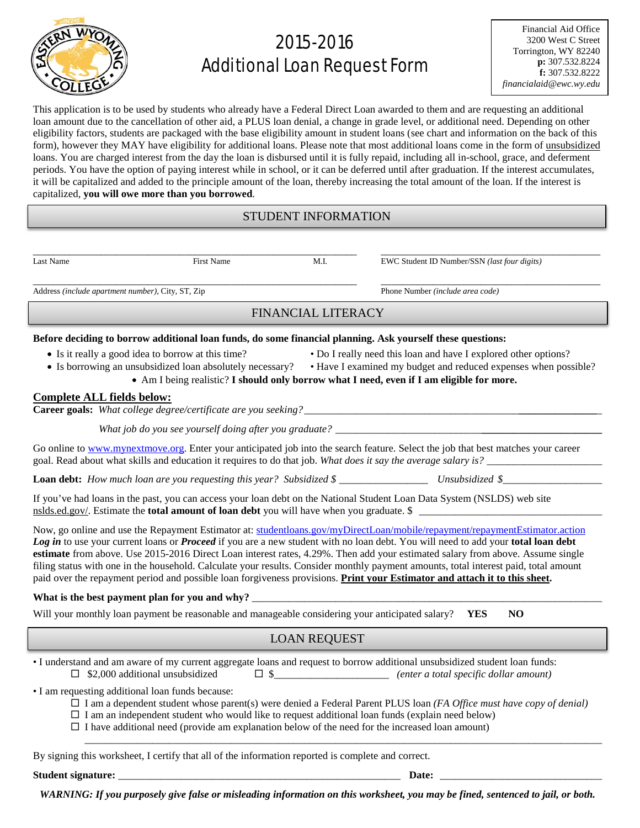

# 2015-2016 Additional Loan Request Form

This application is to be used by students who already have a Federal Direct Loan awarded to them and are requesting an additional loan amount due to the cancellation of other aid, a PLUS loan denial, a change in grade level, or additional need. Depending on other eligibility factors, students are packaged with the base eligibility amount in student loans (see chart and information on the back of this form), however they MAY have eligibility for additional loans. Please note that most additional loans come in the form of unsubsidized loans. You are charged interest from the day the loan is disbursed until it is fully repaid, including all in-school, grace, and deferment periods. You have the option of paying interest while in school, or it can be deferred until after graduation. If the interest accumulates, it will be capitalized and added to the principle amount of the loan, thereby increasing the total amount of the loan. If the interest is capitalized, **you will owe more than you borrowed**.

### STUDENT INFORMATION

\_\_\_\_\_\_\_\_\_\_\_\_\_\_\_\_\_\_\_\_\_\_\_\_\_\_\_\_\_\_\_\_\_\_\_\_\_\_\_\_\_\_\_\_\_\_\_\_\_\_\_\_\_\_\_\_\_\_\_\_\_\_ \_\_\_\_\_\_\_\_\_\_\_\_\_\_\_\_\_\_\_\_\_\_\_\_\_\_\_\_\_\_\_\_\_\_\_\_\_\_\_\_\_\_

Last Name First Name M.I. EWC Student ID Number/SSN *(last four digits)*

Address *(include apartment number),* City, ST, Zip Phone Number *(include area code)* 

\_\_\_\_\_\_\_\_\_\_\_\_\_\_\_\_\_\_\_\_\_\_\_\_\_\_\_\_\_\_\_\_\_\_\_\_\_\_\_\_\_\_\_\_\_\_\_\_\_\_\_\_\_\_\_\_\_\_\_\_\_\_ \_\_\_\_\_\_\_\_\_\_\_\_\_\_\_\_\_\_\_\_\_\_\_\_\_\_\_\_\_\_\_\_\_\_\_\_\_\_\_\_\_\_

## FINANCIAL LITERACY

#### **Before deciding to borrow additional loan funds, do some financial planning. Ask yourself these questions:**

- 
- 
- Is it really a good idea to borrow at this time? Do I really need this loan and have I explored other options?
- Is borrowing an unsubsidized loan absolutely necessary? Have I examined my budget and reduced expenses when possible?
	- Am I being realistic? **I should only borrow what I need, even if I am eligible for more.**

#### **Complete ALL fields below:**

**Career goals:** *What college degree/certificate are you seeking?\_\_\_\_\_\_\_\_\_\_\_\_\_\_\_\_\_\_\_\_\_\_\_\_\_\_\_\_\_\_\_\_\_\_\_\_\_\_\_\_\_***\_\_\_\_\_\_\_\_\_\_\_\_\_\_\_**\_

*What job do you see yourself doing after you graduate? \_\_\_\_\_\_\_\_\_\_\_\_\_\_\_\_\_\_\_\_\_\_\_\_\_\_\_\_***\_\_\_\_\_\_\_\_\_\_\_\_\_\_\_\_\_\_\_\_\_\_\_**

Go online to [www.mynextmove.org.](http://www.mynextmove.org/) Enter your anticipated job into the search feature. Select the job that best matches your career goal. Read about what skills and education it requires to do that job. *What does it say the average salary is?* \_\_\_\_\_\_\_\_\_\_\_\_\_\_\_\_\_\_\_\_\_\_

**Loan debt:** *How much loan are you requesting this year? Subsidized \$* \_\_\_\_\_\_\_\_\_\_\_\_\_\_\_\_\_ *Unsubsidized \$*\_\_\_\_\_\_\_\_\_\_\_\_\_\_\_\_\_\_\_

If you've had loans in the past, you can access your loan debt on the National Student Loan Data System (NSLDS) web site nslds.ed.gov/. Estimate the **total amount of loan debt** you will have when you graduate. \$

Now, go online and use the Repayment Estimator at: [studentloans.gov/myDirectLoan/mobile/repayment/repaymentEstimator.action](https://studentloans.gov/myDirectLoan/mobile/repayment/repaymentEstimator.action) *Log in* to use your current loans or *Proceed* if you are a new student with no loan debt. You will need to add your **total loan debt estimate** from above. Use 2015-2016 Direct Loan interest rates, 4.29%. Then add your estimated salary from above. Assume single filing status with one in the household. Calculate your results. Consider monthly payment amounts, total interest paid, total amount paid over the repayment period and possible loan forgiveness provisions. **Print your Estimator and attach it to this sheet.**

#### What is the best payment plan for you and why?

Will your monthly loan payment be reasonable and manageable considering your anticipated salary?**YES NO**

## LOAN REQUEST

• I understand and am aware of my current aggregate loans and request to borrow additional unsubsidized student loan funds:  $\Box$  \$2,000 additional unsubsidized  $\Box$  \$ $\Box$  *(enter a total specific dollar amount)* 

• I am requesting additional loan funds because:

I am a dependent student whose parent(s) were denied a Federal Parent PLUS loan *(FA Office must have copy of denial)*

\_\_\_\_\_\_\_\_\_\_\_\_\_\_\_\_\_\_\_\_\_\_\_\_\_\_\_\_\_\_\_\_\_\_\_\_\_\_\_\_\_\_\_\_\_\_\_\_\_\_\_\_\_\_\_\_\_\_\_\_\_\_\_\_\_\_\_\_\_\_\_\_\_\_\_\_\_\_\_\_\_\_\_\_\_\_\_\_\_\_\_\_\_\_\_\_\_\_\_

- $\Box$  I am an independent student who would like to request additional loan funds (explain need below)
- $\Box$  I have additional need (provide am explanation below of the need for the increased loan amount)

By signing this worksheet, I certify that all of the information reported is complete and correct.

**Student signature: Date: Date: Date: Date: Date: Date: Date: Date: Date: Date: Date: Date: Date: Date: Date: Date: Date: Date: Date: Date: Date: Date: Date: Date: Date:**

*WARNING: If you purposely give false or misleading information on this worksheet, you may be fined, sentenced to jail, or both.*